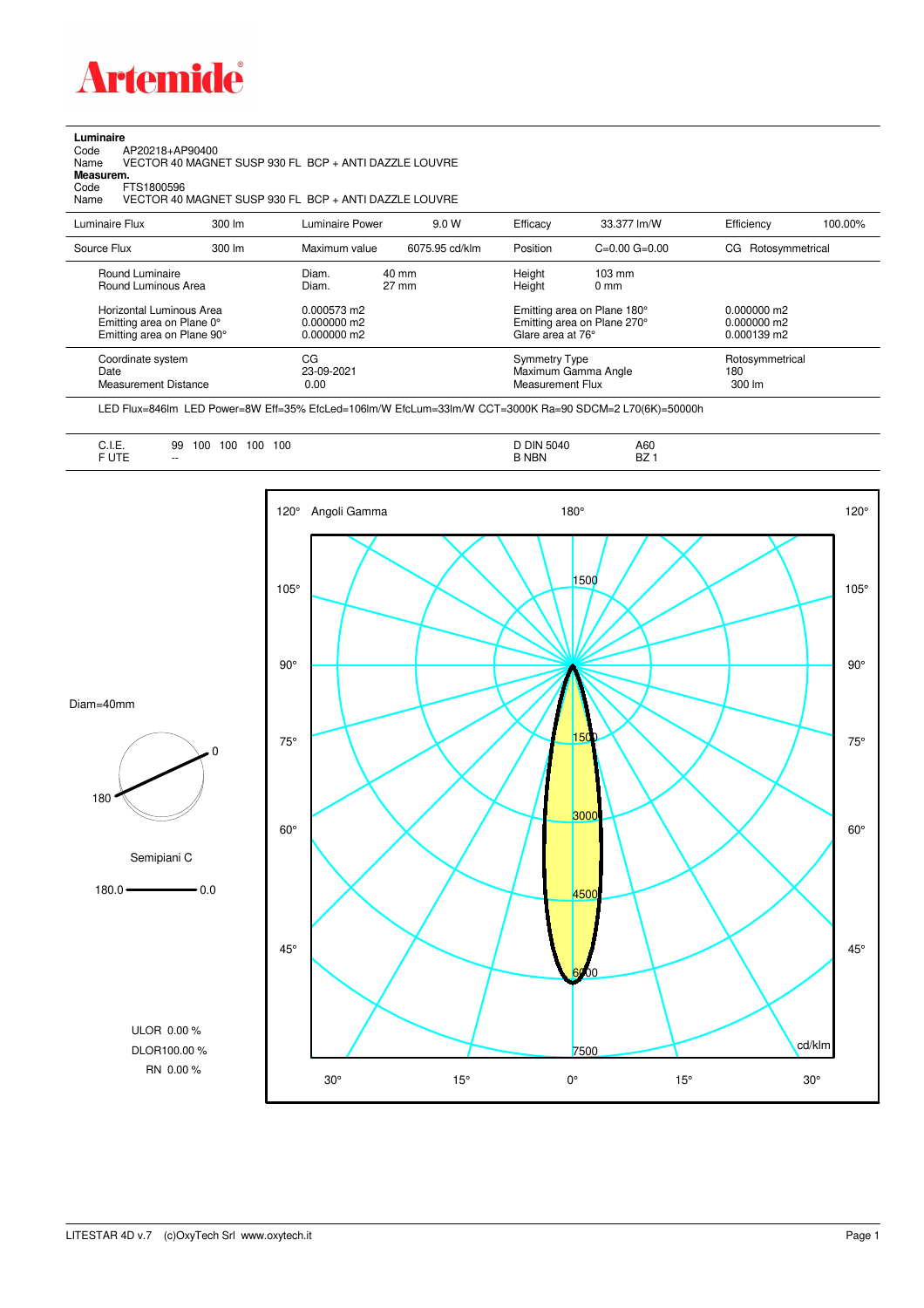

## **Luminaire**

Code AP20218+AP90400 Name VECTOR 40 MAGNET SUSP 930 FL BCP + ANTI DAZZLE LOUVRE

Code A<br>Name V<br>**Measurem.** Code FTS1800596<br>Name VECTOR 40

Name VECTOR 40 MAGNET SUSP 930 FL BCP + ANTI DAZZLE LOUVRE

| Luminaire Flux                                                                                                                | $300 \, \text{Im}$ | Luminaire Power                                                 | 9.0 W                    | Efficacy                                 | 33.377 lm/W                                                                                                                               | Efficiency                                                    | 100.00% |
|-------------------------------------------------------------------------------------------------------------------------------|--------------------|-----------------------------------------------------------------|--------------------------|------------------------------------------|-------------------------------------------------------------------------------------------------------------------------------------------|---------------------------------------------------------------|---------|
| Source Flux                                                                                                                   | $300 \, \text{Im}$ | Maximum value                                                   | 6075.95 cd/klm           | Position                                 | $C=0.00$ $G=0.00$                                                                                                                         | CG Rotosymmetrical                                            |         |
| Round Luminaire<br>Round Luminous Area<br>Horizontal Luminous Area<br>Emitting area on Plane 0°<br>Emitting area on Plane 90° |                    | Diam.<br>Diam.<br>0.000573 m2<br>$0.000000$ m2<br>$0.000000$ m2 | 40 mm<br>$27 \text{ mm}$ |                                          | Height<br>$103 \text{ mm}$<br>Height<br>$0 \text{ mm}$<br>Emitting area on Plane 180°<br>Emitting area on Plane 270°<br>Glare area at 76° |                                                               |         |
| Coordinate system<br>Date<br><b>Measurement Distance</b>                                                                      |                    | CG<br>23-09-2021<br>0.00                                        |                          | <b>Symmetry Type</b><br>Measurement Flux | Maximum Gamma Angle                                                                                                                       | $0.000139$ m2<br>Rotosymmetrical<br>180<br>$300 \, \text{Im}$ |         |

LED Flux=846lm LED Power=8W Eff=35% EfcLed=106lm/W EfcLum=33lm/W CCT=3000K Ra=90 SDCM=2 L70(6K)=50000h